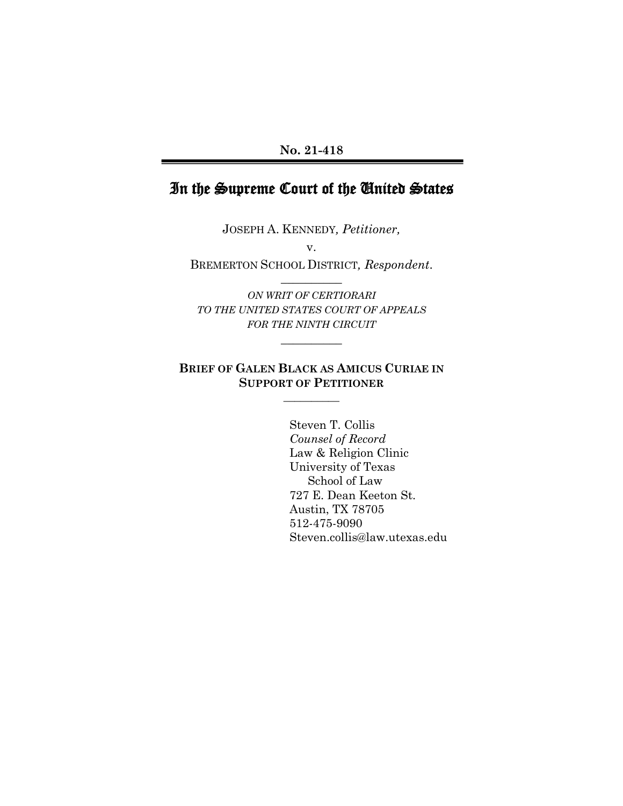# In the Supreme Court of the United States

JOSEPH A. KENNEDY*, Petitioner,*

v. BREMERTON SCHOOL DISTRICT*, Respondent*.

*ON WRIT OF CERTIORARI TO THE UNITED STATES COURT OF APPEALS FOR THE NINTH CIRCUIT*

 $\overline{\phantom{a}}$ 

 $\overline{\phantom{a}}$ 

#### **BRIEF OF GALEN BLACK AS AMICUS CURIAE IN SUPPORT OF PETITIONER**  $\overline{\phantom{a}}$  , where  $\overline{\phantom{a}}$

Steven T. Collis *Counsel of Record* Law & Religion Clinic University of Texas School of Law 727 E. Dean Keeton St. Austin, TX 78705 512-475-9090 Steven.collis@law.utexas.edu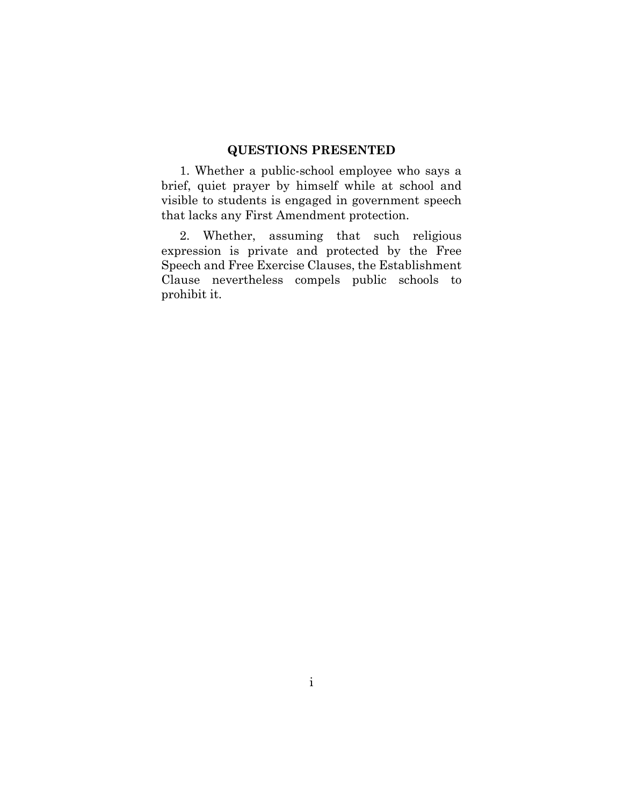## **QUESTIONS PRESENTED**

1. Whether a public-school employee who says a brief, quiet prayer by himself while at school and visible to students is engaged in government speech that lacks any First Amendment protection.

2. Whether, assuming that such religious expression is private and protected by the Free Speech and Free Exercise Clauses, the Establishment Clause nevertheless compels public schools to prohibit it.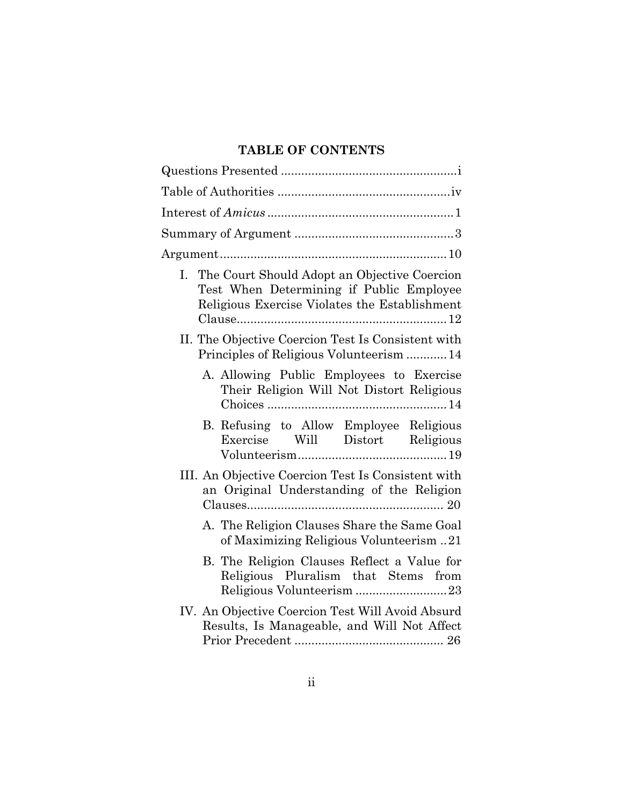# **TABLE OF CONTENTS**

| The Court Should Adopt an Objective Coercion<br>I.<br>Test When Determining if Public Employee<br>Religious Exercise Violates the Establishment |
|-------------------------------------------------------------------------------------------------------------------------------------------------|
| II. The Objective Coercion Test Is Consistent with<br>Principles of Religious Volunteerism  14                                                  |
| A. Allowing Public Employees to Exercise<br>Their Religion Will Not Distort Religious                                                           |
| B. Refusing to Allow Employee Religious<br>Exercise Will Distort Religious                                                                      |
| III. An Objective Coercion Test Is Consistent with<br>an Original Understanding of the Religion                                                 |
| A. The Religion Clauses Share the Same Goal<br>of Maximizing Religious Volunteerism21                                                           |
| B. The Religion Clauses Reflect a Value for<br>Religious Pluralism that Stems from                                                              |
| IV. An Objective Coercion Test Will Avoid Absurd<br>Results, Is Manageable, and Will Not Affect                                                 |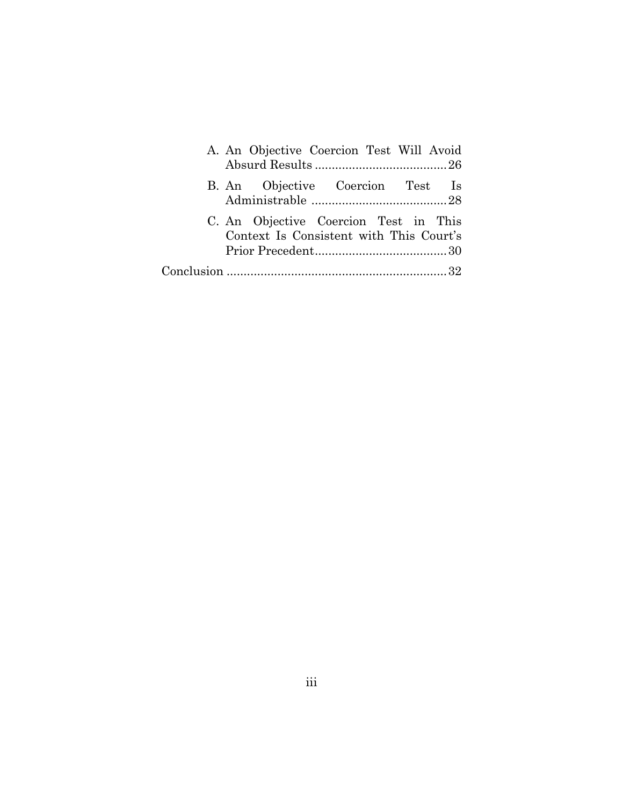| A. An Objective Coercion Test Will Avoid                                         |
|----------------------------------------------------------------------------------|
| B. An Objective Coercion Test Is                                                 |
| C. An Objective Coercion Test in This<br>Context Is Consistent with This Court's |
|                                                                                  |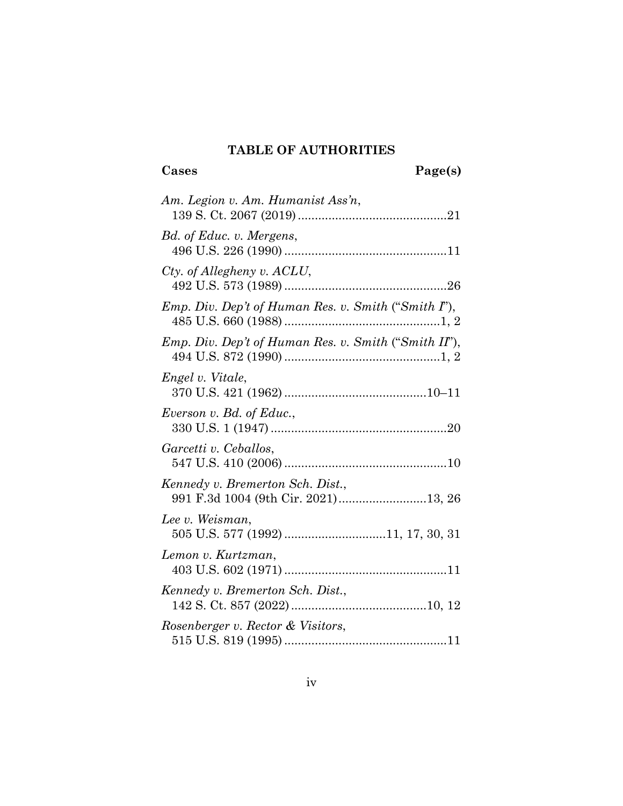# **TABLE OF AUTHORITIES**

| Am. Legion v. Am. Humanist Ass'n,                    |
|------------------------------------------------------|
| Bd. of Educ. v. Mergens,                             |
| $Cty.$ of Allegheny v. $ACLU$ ,                      |
| Emp. Div. Dep't of Human Res. v. Smith ("Smith I"),  |
| Emp. Div. Dep't of Human Res. v. Smith ("Smith II"), |
| Engel v. Vitale,                                     |
| Everson v. Bd. of Educ.,                             |
| Garcetti v. Ceballos,                                |
| Kennedy v. Bremerton Sch. Dist.,                     |
| Lee v. Weisman,                                      |
| Lemon v. Kurtzman,                                   |
| Kennedy v. Bremerton Sch. Dist.,                     |
| Rosenberger v. Rector & Visitors,                    |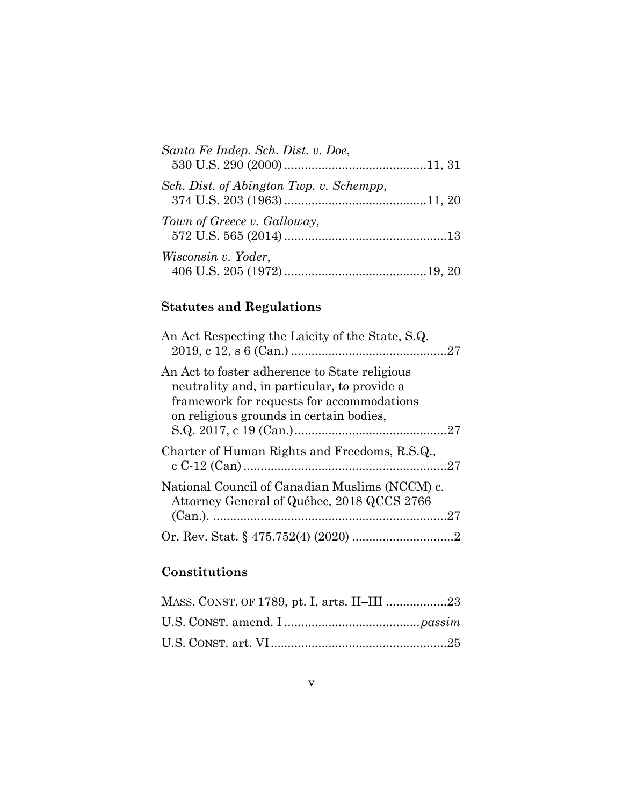| Santa Fe Indep. Sch. Dist. v. Doe,      |  |
|-----------------------------------------|--|
| Sch. Dist. of Abington Twp. v. Schempp, |  |
| Town of Greece v. Galloway,             |  |
| Wisconsin v. Yoder,                     |  |

# **Statutes and Regulations**

| An Act Respecting the Laicity of the State, S.Q.                                                                                                                                     |  |
|--------------------------------------------------------------------------------------------------------------------------------------------------------------------------------------|--|
| An Act to foster adherence to State religious<br>neutrality and, in particular, to provide a<br>framework for requests for accommodations<br>on religious grounds in certain bodies, |  |
| Charter of Human Rights and Freedoms, R.S.Q.,                                                                                                                                        |  |
| National Council of Canadian Muslims (NCCM) c.<br>Attorney General of Québec, 2018 QCCS 2766                                                                                         |  |
|                                                                                                                                                                                      |  |

# **Constitutions**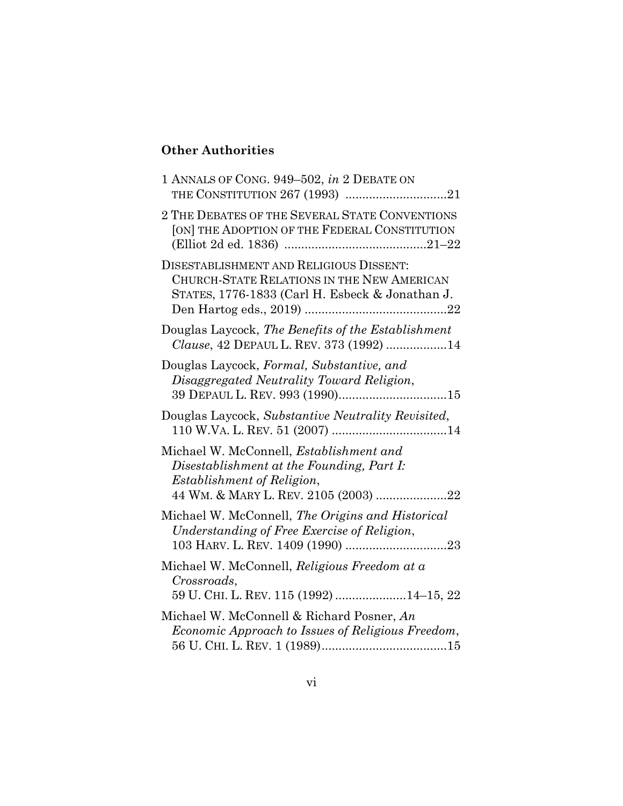# **Other Authorities**

| 1 ANNALS OF CONG. 949-502, in 2 DEBATE ON                                                                                                                         |
|-------------------------------------------------------------------------------------------------------------------------------------------------------------------|
| 2 THE DEBATES OF THE SEVERAL STATE CONVENTIONS<br>[ON] THE ADOPTION OF THE FEDERAL CONSTITUTION                                                                   |
| DISESTABLISHMENT AND RELIGIOUS DISSENT:<br>CHURCH-STATE RELATIONS IN THE NEW AMERICAN<br>STATES, 1776-1833 (Carl H. Esbeck & Jonathan J.                          |
| Douglas Laycock, The Benefits of the Establishment<br>Clause, 42 DEPAUL L. REV. 373 (1992) 14                                                                     |
| Douglas Laycock, Formal, Substantive, and<br>Disaggregated Neutrality Toward Religion,                                                                            |
| Douglas Laycock, Substantive Neutrality Revisited,                                                                                                                |
| Michael W. McConnell, <i>Establishment</i> and<br>Disestablishment at the Founding, Part I:<br>Establishment of Religion,<br>44 WM. & MARY L. REV. 2105 (2003) 22 |
| Michael W. McConnell, The Origins and Historical<br>Understanding of Free Exercise of Religion,                                                                   |
| Michael W. McConnell, Religious Freedom at a<br>Crossroads,<br>59 U. CHI. L. REV. 115 (1992) 14-15, 22                                                            |
| Michael W. McConnell & Richard Posner, An<br>Economic Approach to Issues of Religious Freedom,                                                                    |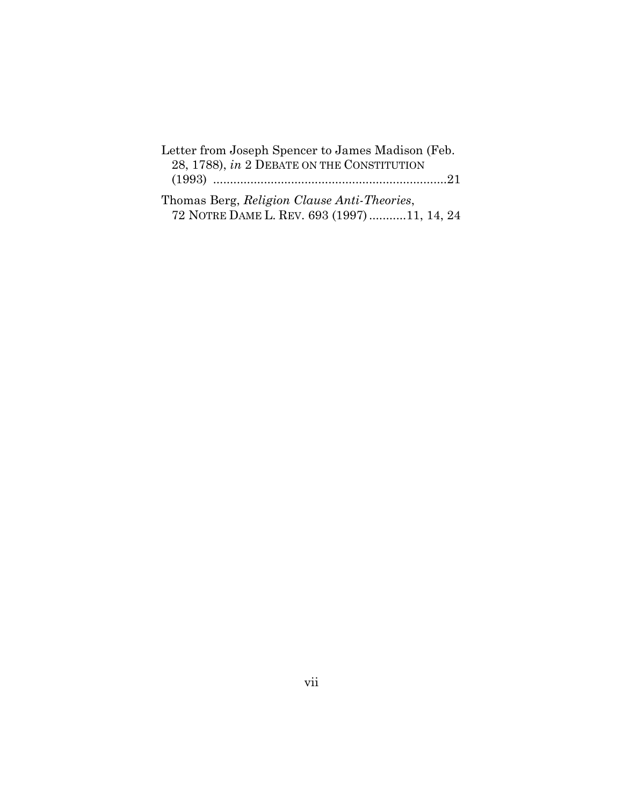| Letter from Joseph Spencer to James Madison (Feb. |
|---------------------------------------------------|
| 28, 1788), in 2 DEBATE ON THE CONSTITUTION        |
|                                                   |
| Thomas Berg, Religion Clause Anti-Theories,       |
| 72 NOTRE DAME L. REV. 693 (1997) 11, 14, 24       |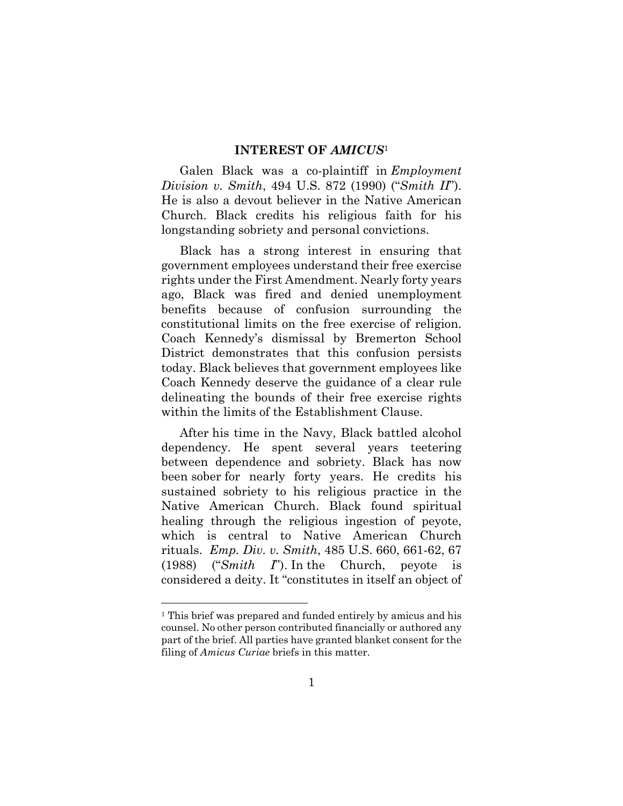#### **INTEREST OF** *AMICUS*<sup>1</sup>

Galen Black was a co-plaintiff in *Employment Division v. Smith*, 494 U.S. 872 (1990) ("*Smith II*"). He is also a devout believer in the Native American Church. Black credits his religious faith for his longstanding sobriety and personal convictions.

Black has a strong interest in ensuring that government employees understand their free exercise rights under the First Amendment. Nearly forty years ago, Black was fired and denied unemployment benefits because of confusion surrounding the constitutional limits on the free exercise of religion. Coach Kennedy's dismissal by Bremerton School District demonstrates that this confusion persists today. Black believes that government employees like Coach Kennedy deserve the guidance of a clear rule delineating the bounds of their free exercise rights within the limits of the Establishment Clause.

After his time in the Navy, Black battled alcohol dependency. He spent several years teetering between dependence and sobriety. Black has now been sober for nearly forty years. He credits his sustained sobriety to his religious practice in the Native American Church. Black found spiritual healing through the religious ingestion of peyote, which is central to Native American Church rituals. *Emp. Div. v. Smith*, 485 U.S. 660, 661-62, 67 (1988) ("*Smith I*"). In the Church, peyote is considered a deity. It "constitutes in itself an object of

<sup>&</sup>lt;sup>1</sup> This brief was prepared and funded entirely by amicus and his counsel. No other person contributed financially or authored any part of the brief. All parties have granted blanket consent for the filing of *Amicus Curiae* briefs in this matter.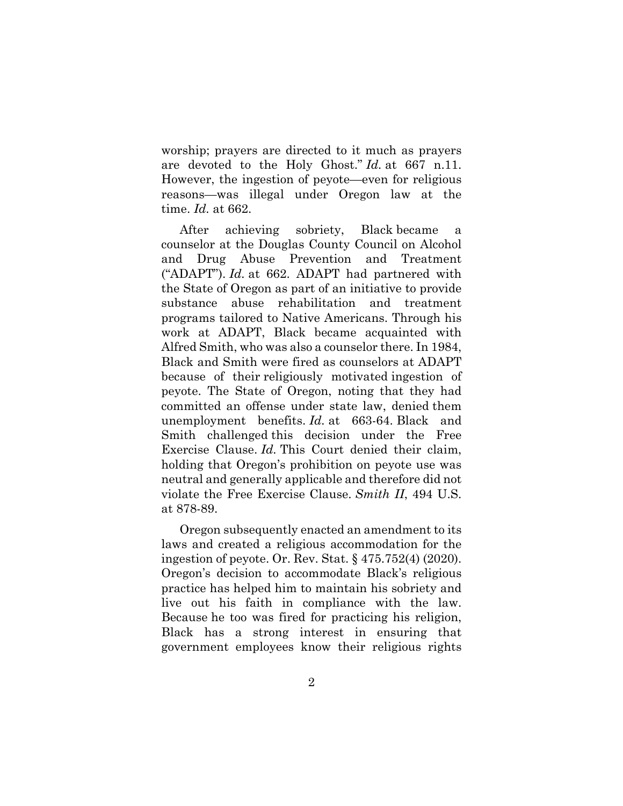worship; prayers are directed to it much as prayers are devoted to the Holy Ghost." *Id.* at 667 n.11. However, the ingestion of peyote—even for religious reasons—was illegal under Oregon law at the time. *Id.* at 662.

After achieving sobriety, Black became a counselor at the Douglas County Council on Alcohol and Drug Abuse Prevention and Treatment ("ADAPT"). *Id.* at 662. ADAPT had partnered with the State of Oregon as part of an initiative to provide substance abuse rehabilitation and treatment programs tailored to Native Americans. Through his work at ADAPT, Black became acquainted with Alfred Smith, who was also a counselor there. In 1984, Black and Smith were fired as counselors at ADAPT because of their religiously motivated ingestion of peyote. The State of Oregon, noting that they had committed an offense under state law, denied them unemployment benefits. *Id.* at 663-64. Black and Smith challenged this decision under the Free Exercise Clause. *Id.* This Court denied their claim, holding that Oregon's prohibition on peyote use was neutral and generally applicable and therefore did not violate the Free Exercise Clause. *Smith II*, 494 U.S. at 878-89.

Oregon subsequently enacted an amendment to its laws and created a religious accommodation for the ingestion of peyote. Or. Rev. Stat. § 475.752(4) (2020). Oregon's decision to accommodate Black's religious practice has helped him to maintain his sobriety and live out his faith in compliance with the law. Because he too was fired for practicing his religion, Black has a strong interest in ensuring that government employees know their religious rights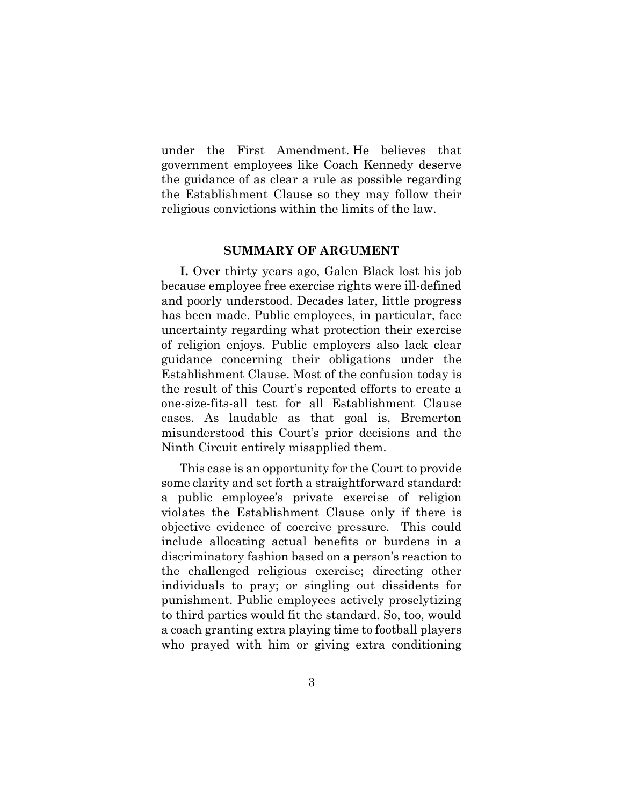under the First Amendment. He believes that government employees like Coach Kennedy deserve the guidance of as clear a rule as possible regarding the Establishment Clause so they may follow their religious convictions within the limits of the law.

#### **SUMMARY OF ARGUMENT**

**I.** Over thirty years ago, Galen Black lost his job because employee free exercise rights were ill-defined and poorly understood. Decades later, little progress has been made. Public employees, in particular, face uncertainty regarding what protection their exercise of religion enjoys. Public employers also lack clear guidance concerning their obligations under the Establishment Clause. Most of the confusion today is the result of this Court's repeated efforts to create a one-size-fits-all test for all Establishment Clause cases. As laudable as that goal is, Bremerton misunderstood this Court's prior decisions and the Ninth Circuit entirely misapplied them.

This case is an opportunity for the Court to provide some clarity and set forth a straightforward standard: a public employee's private exercise of religion violates the Establishment Clause only if there is objective evidence of coercive pressure. This could include allocating actual benefits or burdens in a discriminatory fashion based on a person's reaction to the challenged religious exercise; directing other individuals to pray; or singling out dissidents for punishment. Public employees actively proselytizing to third parties would fit the standard. So, too, would a coach granting extra playing time to football players who prayed with him or giving extra conditioning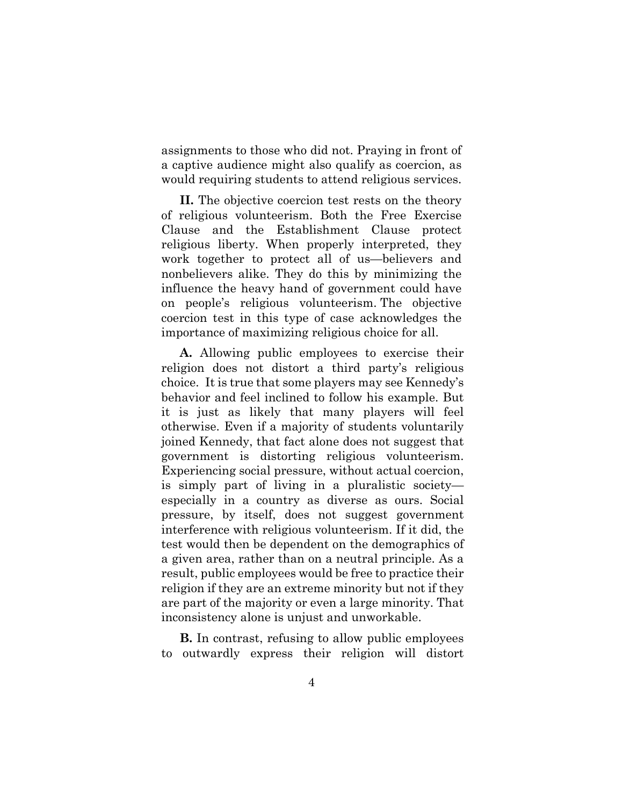assignments to those who did not. Praying in front of a captive audience might also qualify as coercion, as would requiring students to attend religious services.

**II.** The objective coercion test rests on the theory of religious volunteerism. Both the Free Exercise Clause and the Establishment Clause protect religious liberty. When properly interpreted, they work together to protect all of us—believers and nonbelievers alike. They do this by minimizing the influence the heavy hand of government could have on people's religious volunteerism. The objective coercion test in this type of case acknowledges the importance of maximizing religious choice for all.

**A.** Allowing public employees to exercise their religion does not distort a third party's religious choice. It is true that some players may see Kennedy's behavior and feel inclined to follow his example. But it is just as likely that many players will feel otherwise. Even if a majority of students voluntarily joined Kennedy, that fact alone does not suggest that government is distorting religious volunteerism. Experiencing social pressure, without actual coercion, is simply part of living in a pluralistic society especially in a country as diverse as ours. Social pressure, by itself, does not suggest government interference with religious volunteerism. If it did, the test would then be dependent on the demographics of a given area, rather than on a neutral principle. As a result, public employees would be free to practice their religion if they are an extreme minority but not if they are part of the majority or even a large minority. That inconsistency alone is unjust and unworkable.

**B.** In contrast, refusing to allow public employees to outwardly express their religion will distort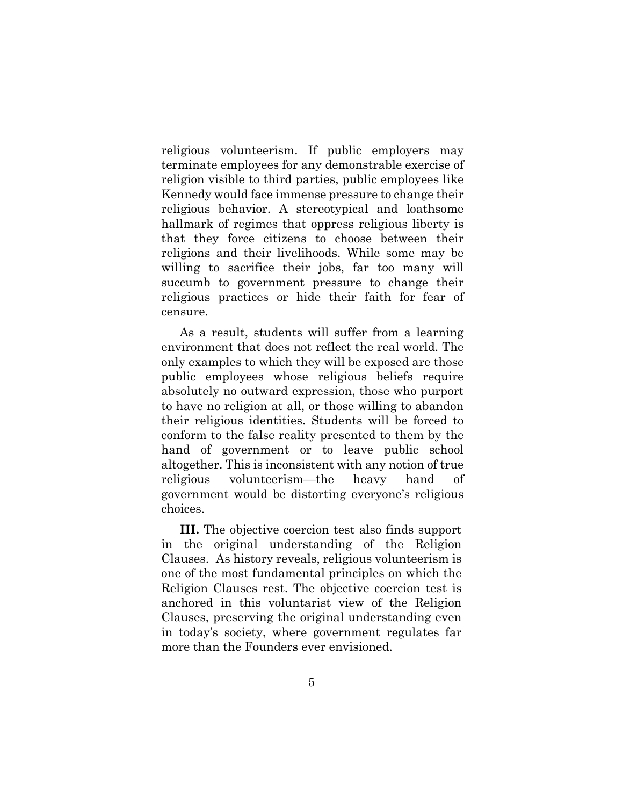religious volunteerism. If public employers may terminate employees for any demonstrable exercise of religion visible to third parties, public employees like Kennedy would face immense pressure to change their religious behavior. A stereotypical and loathsome hallmark of regimes that oppress religious liberty is that they force citizens to choose between their religions and their livelihoods. While some may be willing to sacrifice their jobs, far too many will succumb to government pressure to change their religious practices or hide their faith for fear of censure.

As a result, students will suffer from a learning environment that does not reflect the real world. The only examples to which they will be exposed are those public employees whose religious beliefs require absolutely no outward expression, those who purport to have no religion at all, or those willing to abandon their religious identities. Students will be forced to conform to the false reality presented to them by the hand of government or to leave public school altogether. This is inconsistent with any notion of true religious volunteerism—the heavy hand of government would be distorting everyone's religious choices.

**III.** The objective coercion test also finds support in the original understanding of the Religion Clauses. As history reveals, religious volunteerism is one of the most fundamental principles on which the Religion Clauses rest. The objective coercion test is anchored in this voluntarist view of the Religion Clauses, preserving the original understanding even in today's society, where government regulates far more than the Founders ever envisioned.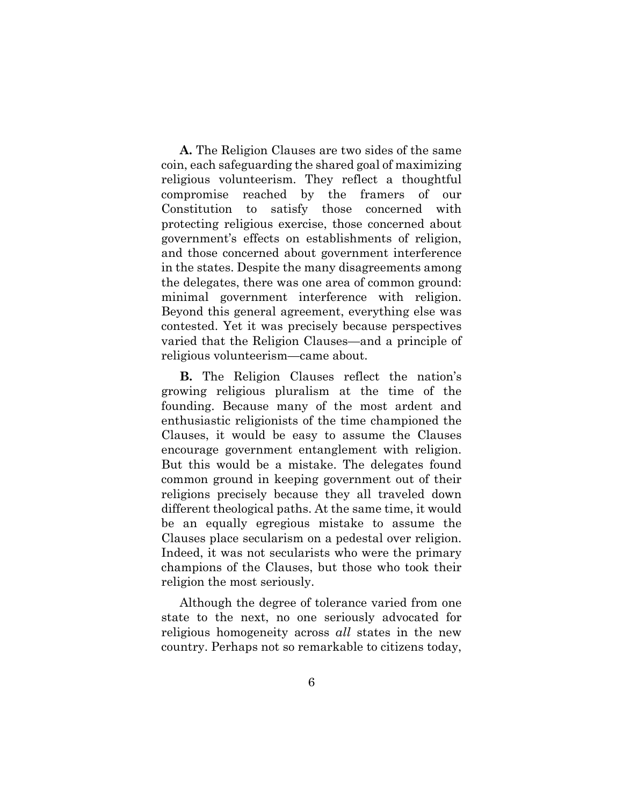**A.** The Religion Clauses are two sides of the same coin, each safeguarding the shared goal of maximizing religious volunteerism. They reflect a thoughtful compromise reached by the framers of our Constitution to satisfy those concerned with protecting religious exercise, those concerned about government's effects on establishments of religion, and those concerned about government interference in the states. Despite the many disagreements among the delegates, there was one area of common ground: minimal government interference with religion. Beyond this general agreement, everything else was contested. Yet it was precisely because perspectives varied that the Religion Clauses—and a principle of religious volunteerism—came about.

**B.** The Religion Clauses reflect the nation's growing religious pluralism at the time of the founding. Because many of the most ardent and enthusiastic religionists of the time championed the Clauses, it would be easy to assume the Clauses encourage government entanglement with religion. But this would be a mistake. The delegates found common ground in keeping government out of their religions precisely because they all traveled down different theological paths. At the same time, it would be an equally egregious mistake to assume the Clauses place secularism on a pedestal over religion. Indeed, it was not secularists who were the primary champions of the Clauses, but those who took their religion the most seriously.

Although the degree of tolerance varied from one state to the next, no one seriously advocated for religious homogeneity across *all* states in the new country. Perhaps not so remarkable to citizens today,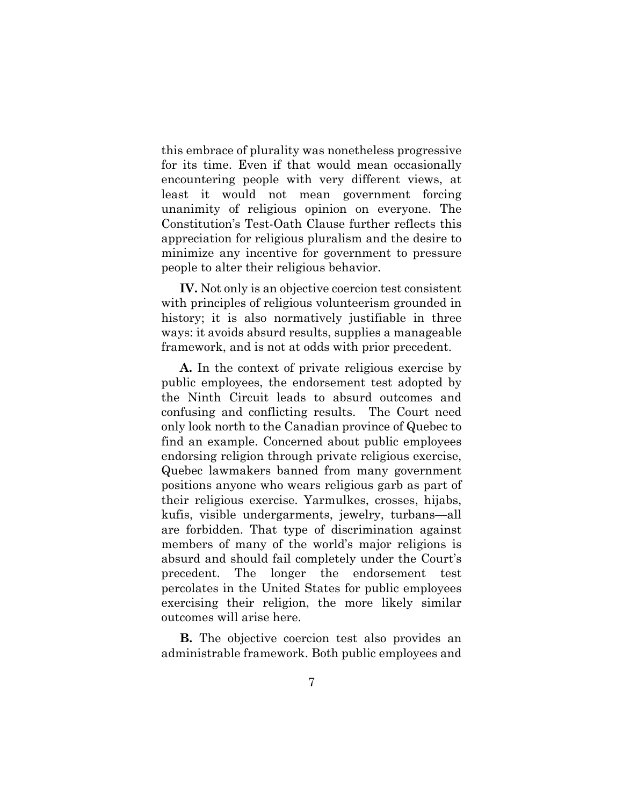this embrace of plurality was nonetheless progressive for its time. Even if that would mean occasionally encountering people with very different views, at least it would not mean government forcing unanimity of religious opinion on everyone. The Constitution's Test-Oath Clause further reflects this appreciation for religious pluralism and the desire to minimize any incentive for government to pressure people to alter their religious behavior.

**IV.** Not only is an objective coercion test consistent with principles of religious volunteerism grounded in history; it is also normatively justifiable in three ways: it avoids absurd results, supplies a manageable framework, and is not at odds with prior precedent.

**A.** In the context of private religious exercise by public employees, the endorsement test adopted by the Ninth Circuit leads to absurd outcomes and confusing and conflicting results. The Court need only look north to the Canadian province of Quebec to find an example. Concerned about public employees endorsing religion through private religious exercise, Quebec lawmakers banned from many government positions anyone who wears religious garb as part of their religious exercise. Yarmulkes, crosses, hijabs, kufis, visible undergarments, jewelry, turbans—all are forbidden. That type of discrimination against members of many of the world's major religions is absurd and should fail completely under the Court's precedent. The longer the endorsement test percolates in the United States for public employees exercising their religion, the more likely similar outcomes will arise here.

**B.** The objective coercion test also provides an administrable framework. Both public employees and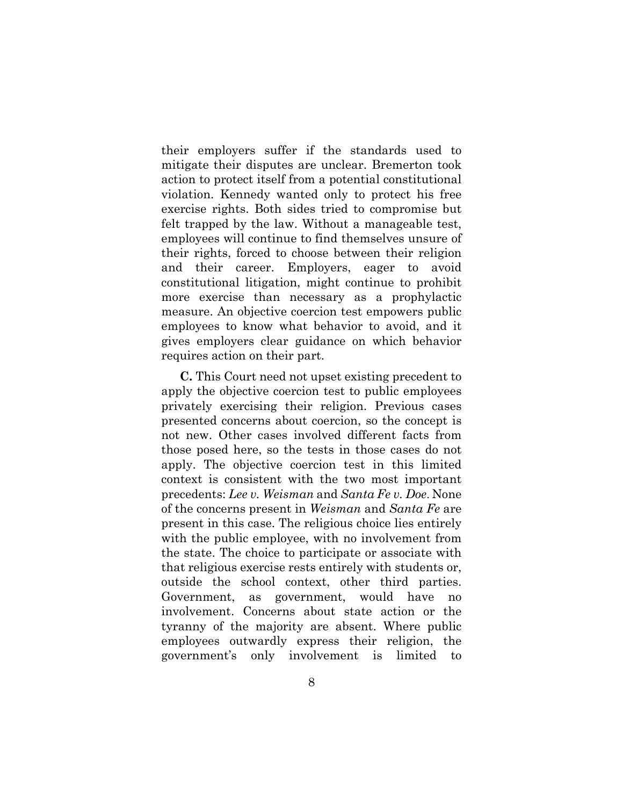their employers suffer if the standards used to mitigate their disputes are unclear. Bremerton took action to protect itself from a potential constitutional violation. Kennedy wanted only to protect his free exercise rights. Both sides tried to compromise but felt trapped by the law. Without a manageable test, employees will continue to find themselves unsure of their rights, forced to choose between their religion and their career. Employers, eager to avoid constitutional litigation, might continue to prohibit more exercise than necessary as a prophylactic measure. An objective coercion test empowers public employees to know what behavior to avoid, and it gives employers clear guidance on which behavior requires action on their part.

**C.** This Court need not upset existing precedent to apply the objective coercion test to public employees privately exercising their religion. Previous cases presented concerns about coercion, so the concept is not new. Other cases involved different facts from those posed here, so the tests in those cases do not apply. The objective coercion test in this limited context is consistent with the two most important precedents: *Lee v. Weisman* and *Santa Fe v. Doe*. None of the concerns present in *Weisman* and *Santa Fe* are present in this case. The religious choice lies entirely with the public employee, with no involvement from the state. The choice to participate or associate with that religious exercise rests entirely with students or, outside the school context, other third parties. Government, as government, would have no involvement. Concerns about state action or the tyranny of the majority are absent. Where public employees outwardly express their religion, the government's only involvement is limited to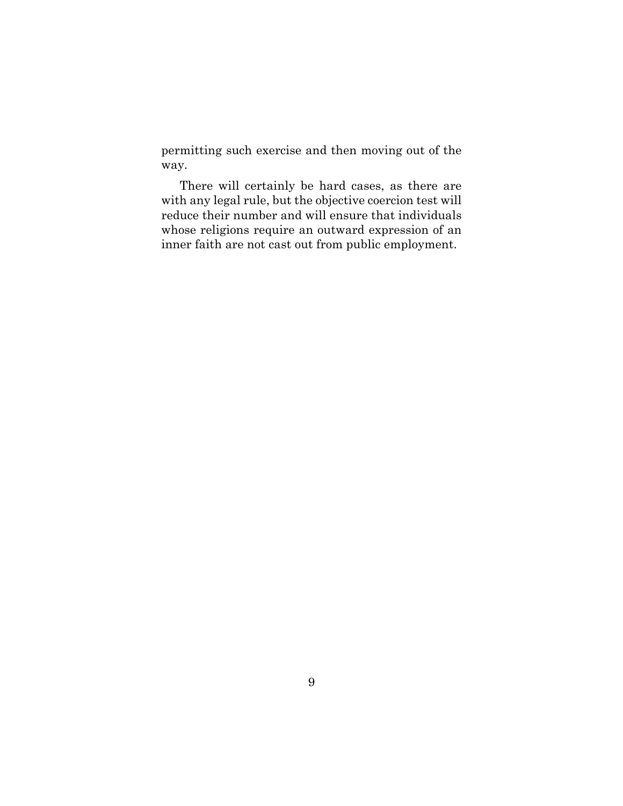permitting such exercise and then moving out of the way.

There will certainly be hard cases, as there are with any legal rule, but the objective coercion test will reduce their number and will ensure that individuals whose religions require an outward expression of an inner faith are not cast out from public employment.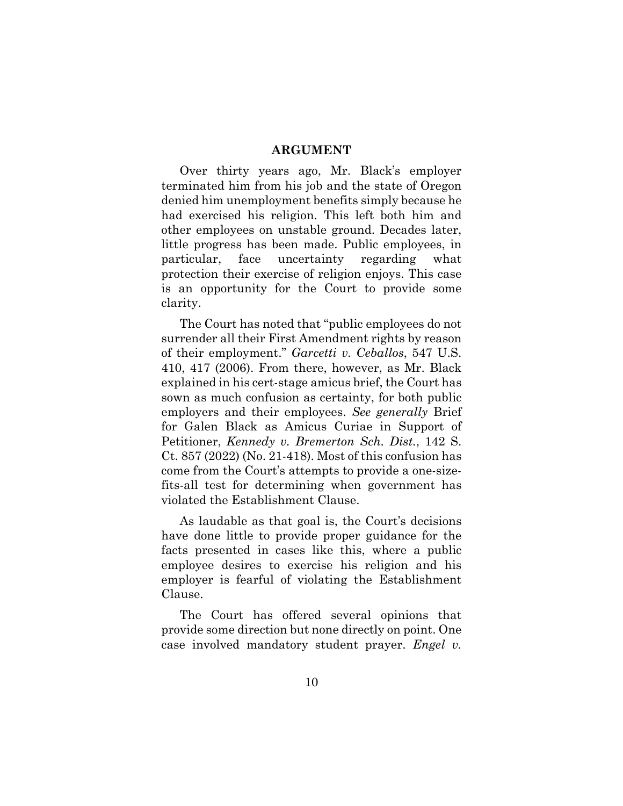#### **ARGUMENT**

Over thirty years ago, Mr. Black's employer terminated him from his job and the state of Oregon denied him unemployment benefits simply because he had exercised his religion. This left both him and other employees on unstable ground. Decades later, little progress has been made. Public employees, in particular, face uncertainty regarding what protection their exercise of religion enjoys. This case is an opportunity for the Court to provide some clarity.

The Court has noted that "public employees do not surrender all their First Amendment rights by reason of their employment." *Garcetti v. Ceballos*, 547 U.S. 410, 417 (2006). From there, however, as Mr. Black explained in his cert-stage amicus brief, the Court has sown as much confusion as certainty, for both public employers and their employees. *See generally* Brief for Galen Black as Amicus Curiae in Support of Petitioner, *Kennedy v. Bremerton Sch. Dist.*, 142 S. Ct. 857 (2022) (No. 21-418). Most of this confusion has come from the Court's attempts to provide a one-sizefits-all test for determining when government has violated the Establishment Clause.

As laudable as that goal is, the Court's decisions have done little to provide proper guidance for the facts presented in cases like this, where a public employee desires to exercise his religion and his employer is fearful of violating the Establishment Clause.

The Court has offered several opinions that provide some direction but none directly on point. One case involved mandatory student prayer. *Engel v.*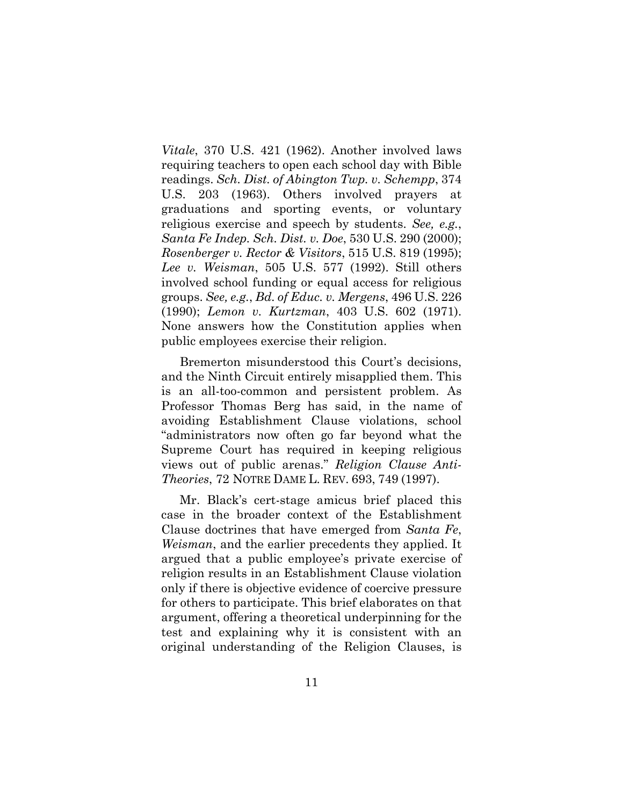*Vitale*, 370 U.S. 421 (1962). Another involved laws requiring teachers to open each school day with Bible readings. *Sch. Dist. of Abington Twp. v. Schempp*, 374 U.S. 203 (1963). Others involved prayers at graduations and sporting events, or voluntary religious exercise and speech by students. *See, e.g.*, *Santa Fe Indep. Sch. Dist. v. Doe*, 530 U.S. 290 (2000); *Rosenberger v. Rector & Visitors*, 515 U.S. 819 (1995); *Lee v. Weisman*, 505 U.S. 577 (1992). Still others involved school funding or equal access for religious groups. *See, e.g.*, *Bd. of Educ. v. Mergens*, 496 U.S. 226 (1990); *Lemon v. Kurtzman*, 403 U.S. 602 (1971). None answers how the Constitution applies when public employees exercise their religion.

Bremerton misunderstood this Court's decisions, and the Ninth Circuit entirely misapplied them. This is an all-too-common and persistent problem. As Professor Thomas Berg has said, in the name of avoiding Establishment Clause violations, school "administrators now often go far beyond what the Supreme Court has required in keeping religious views out of public arenas." *Religion Clause Anti-Theories*, 72 NOTRE DAME L. REV. 693, 749 (1997).

Mr. Black's cert-stage amicus brief placed this case in the broader context of the Establishment Clause doctrines that have emerged from *Santa Fe*, *Weisman*, and the earlier precedents they applied. It argued that a public employee's private exercise of religion results in an Establishment Clause violation only if there is objective evidence of coercive pressure for others to participate. This brief elaborates on that argument, offering a theoretical underpinning for the test and explaining why it is consistent with an original understanding of the Religion Clauses, is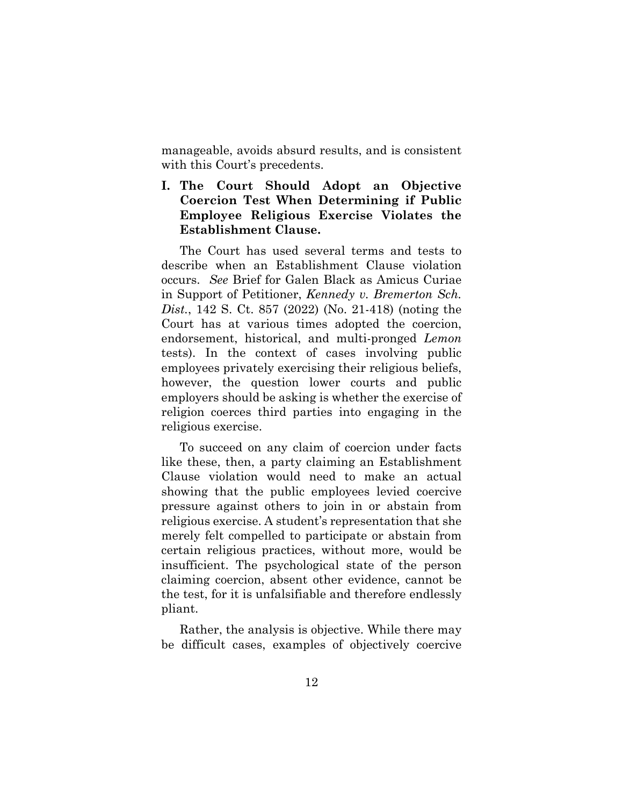manageable, avoids absurd results, and is consistent with this Court's precedents.

**I. The Court Should Adopt an Objective Coercion Test When Determining if Public Employee Religious Exercise Violates the Establishment Clause.** 

The Court has used several terms and tests to describe when an Establishment Clause violation occurs. *See* Brief for Galen Black as Amicus Curiae in Support of Petitioner, *Kennedy v. Bremerton Sch. Dist.*, 142 S. Ct. 857 (2022) (No. 21-418) (noting the Court has at various times adopted the coercion, endorsement, historical, and multi-pronged *Lemon* tests). In the context of cases involving public employees privately exercising their religious beliefs, however, the question lower courts and public employers should be asking is whether the exercise of religion coerces third parties into engaging in the religious exercise.

To succeed on any claim of coercion under facts like these, then, a party claiming an Establishment Clause violation would need to make an actual showing that the public employees levied coercive pressure against others to join in or abstain from religious exercise. A student's representation that she merely felt compelled to participate or abstain from certain religious practices, without more, would be insufficient. The psychological state of the person claiming coercion, absent other evidence, cannot be the test, for it is unfalsifiable and therefore endlessly pliant.

Rather, the analysis is objective. While there may be difficult cases, examples of objectively coercive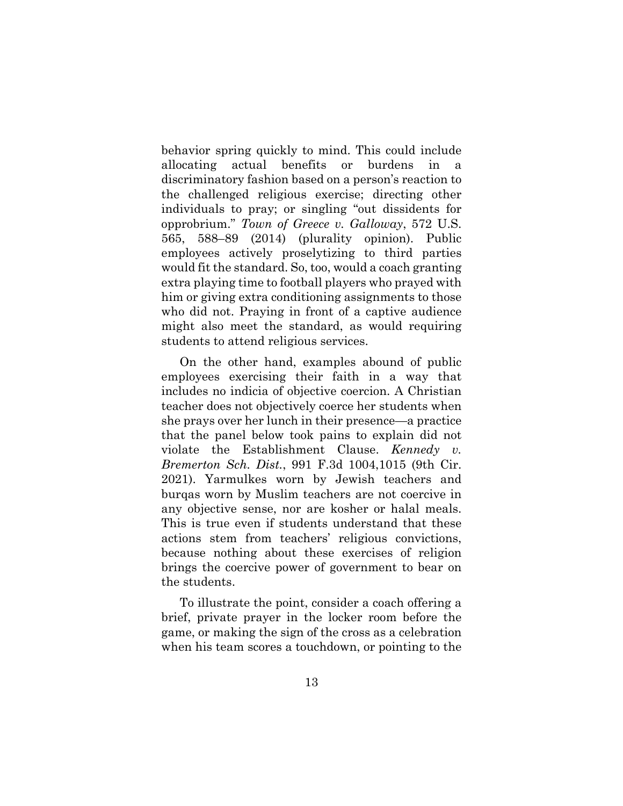behavior spring quickly to mind. This could include allocating actual benefits or burdens in a discriminatory fashion based on a person's reaction to the challenged religious exercise; directing other individuals to pray; or singling "out dissidents for opprobrium." *Town of Greece v. Galloway*, 572 U.S. 565, 588–89 (2014) (plurality opinion). Public employees actively proselytizing to third parties would fit the standard. So, too, would a coach granting extra playing time to football players who prayed with him or giving extra conditioning assignments to those who did not. Praying in front of a captive audience might also meet the standard, as would requiring students to attend religious services.

On the other hand, examples abound of public employees exercising their faith in a way that includes no indicia of objective coercion. A Christian teacher does not objectively coerce her students when she prays over her lunch in their presence—a practice that the panel below took pains to explain did not violate the Establishment Clause. *Kennedy v. Bremerton Sch. Dist.*, 991 F.3d 1004,1015 (9th Cir. 2021). Yarmulkes worn by Jewish teachers and burqas worn by Muslim teachers are not coercive in any objective sense, nor are kosher or halal meals. This is true even if students understand that these actions stem from teachers' religious convictions, because nothing about these exercises of religion brings the coercive power of government to bear on the students.

To illustrate the point, consider a coach offering a brief, private prayer in the locker room before the game, or making the sign of the cross as a celebration when his team scores a touchdown, or pointing to the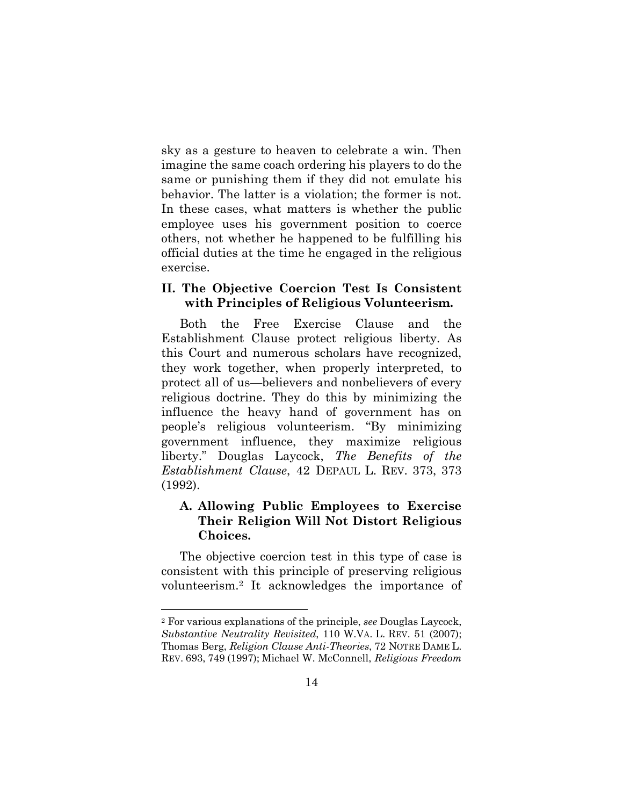sky as a gesture to heaven to celebrate a win. Then imagine the same coach ordering his players to do the same or punishing them if they did not emulate his behavior. The latter is a violation; the former is not. In these cases, what matters is whether the public employee uses his government position to coerce others, not whether he happened to be fulfilling his official duties at the time he engaged in the religious exercise.

#### **II. The Objective Coercion Test Is Consistent with Principles of Religious Volunteerism.**

Both the Free Exercise Clause and the Establishment Clause protect religious liberty. As this Court and numerous scholars have recognized, they work together, when properly interpreted, to protect all of us—believers and nonbelievers of every religious doctrine. They do this by minimizing the influence the heavy hand of government has on people's religious volunteerism. "By minimizing government influence, they maximize religious liberty." Douglas Laycock, *The Benefits of the Establishment Clause*, 42 DEPAUL L. REV. 373, 373 (1992).

## **A. Allowing Public Employees to Exercise Their Religion Will Not Distort Religious Choices.**

The objective coercion test in this type of case is consistent with this principle of preserving religious volunteerism.2 It acknowledges the importance of

<sup>2</sup> For various explanations of the principle, *see* Douglas Laycock, *Substantive Neutrality Revisited*, 110 W.VA. L. REV. 51 (2007); Thomas Berg, *Religion Clause Anti-Theories*, 72 NOTRE DAME L. REV. 693, 749 (1997); Michael W. McConnell, *Religious Freedom*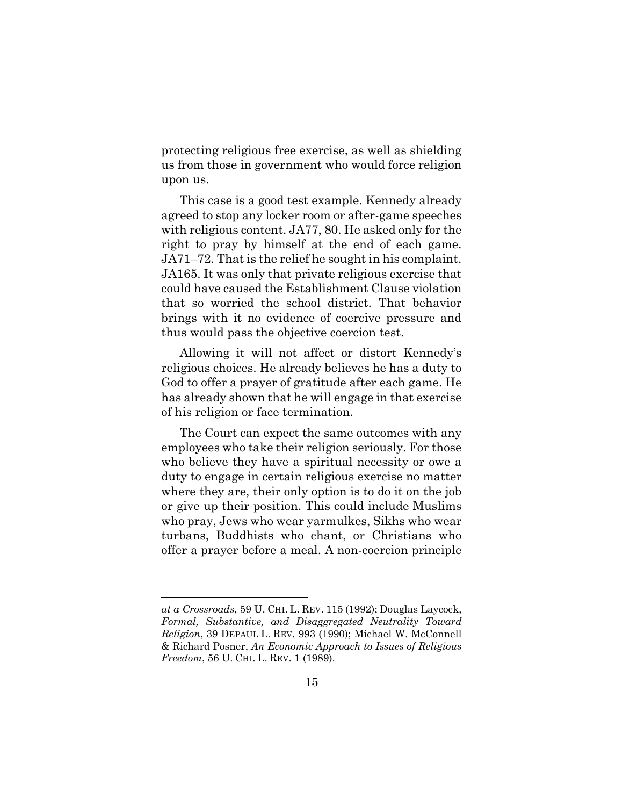protecting religious free exercise, as well as shielding us from those in government who would force religion upon us.

This case is a good test example. Kennedy already agreed to stop any locker room or after-game speeches with religious content. JA77, 80. He asked only for the right to pray by himself at the end of each game. JA71–72. That is the relief he sought in his complaint. JA165. It was only that private religious exercise that could have caused the Establishment Clause violation that so worried the school district. That behavior brings with it no evidence of coercive pressure and thus would pass the objective coercion test.

Allowing it will not affect or distort Kennedy's religious choices. He already believes he has a duty to God to offer a prayer of gratitude after each game. He has already shown that he will engage in that exercise of his religion or face termination.

The Court can expect the same outcomes with any employees who take their religion seriously. For those who believe they have a spiritual necessity or owe a duty to engage in certain religious exercise no matter where they are, their only option is to do it on the job or give up their position. This could include Muslims who pray, Jews who wear yarmulkes, Sikhs who wear turbans, Buddhists who chant, or Christians who offer a prayer before a meal. A non-coercion principle

*at a Crossroads*, 59 U. CHI. L. REV. 115 (1992); Douglas Laycock, *Formal, Substantive, and Disaggregated Neutrality Toward Religion*, 39 DEPAUL L. REV. 993 (1990); Michael W. McConnell & Richard Posner, *An Economic Approach to Issues of Religious Freedom*, 56 U. CHI. L. REV. 1 (1989).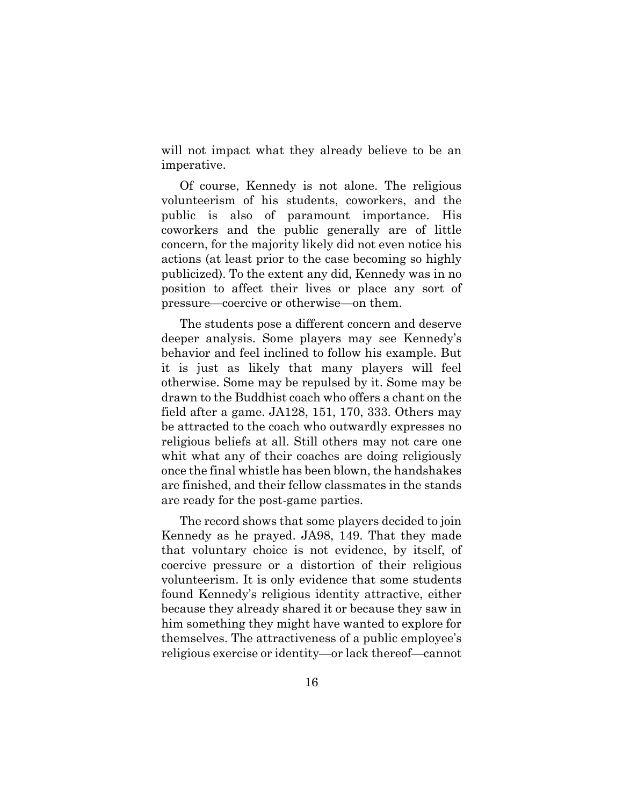will not impact what they already believe to be an imperative.

Of course, Kennedy is not alone. The religious volunteerism of his students, coworkers, and the public is also of paramount importance. His coworkers and the public generally are of little concern, for the majority likely did not even notice his actions (at least prior to the case becoming so highly publicized). To the extent any did, Kennedy was in no position to affect their lives or place any sort of pressure—coercive or otherwise—on them.

The students pose a different concern and deserve deeper analysis. Some players may see Kennedy's behavior and feel inclined to follow his example. But it is just as likely that many players will feel otherwise. Some may be repulsed by it. Some may be drawn to the Buddhist coach who offers a chant on the field after a game. JA128, 151, 170, 333. Others may be attracted to the coach who outwardly expresses no religious beliefs at all. Still others may not care one whit what any of their coaches are doing religiously once the final whistle has been blown, the handshakes are finished, and their fellow classmates in the stands are ready for the post-game parties.

The record shows that some players decided to join Kennedy as he prayed. JA98, 149. That they made that voluntary choice is not evidence, by itself, of coercive pressure or a distortion of their religious volunteerism. It is only evidence that some students found Kennedy's religious identity attractive, either because they already shared it or because they saw in him something they might have wanted to explore for themselves. The attractiveness of a public employee's religious exercise or identity—or lack thereof—cannot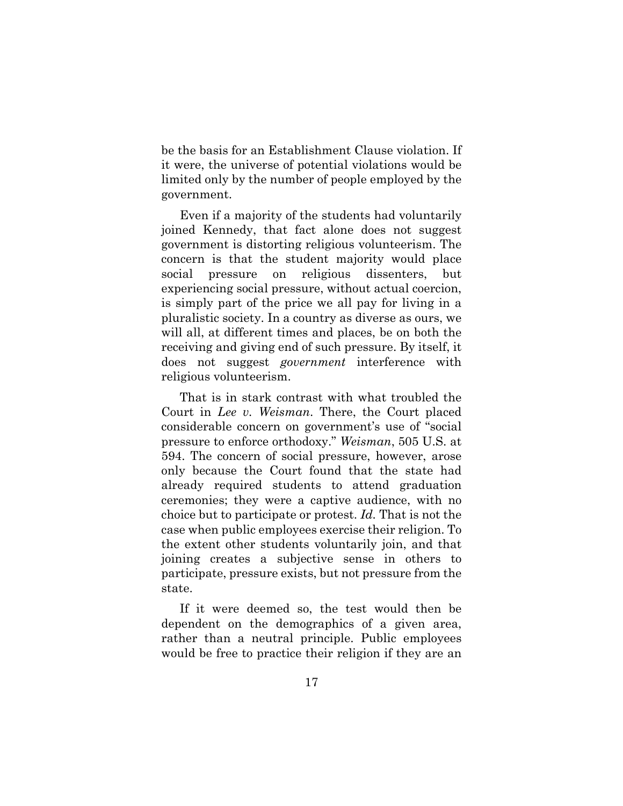be the basis for an Establishment Clause violation. If it were, the universe of potential violations would be limited only by the number of people employed by the government.

Even if a majority of the students had voluntarily joined Kennedy, that fact alone does not suggest government is distorting religious volunteerism. The concern is that the student majority would place social pressure on religious dissenters, but experiencing social pressure, without actual coercion, is simply part of the price we all pay for living in a pluralistic society. In a country as diverse as ours, we will all, at different times and places, be on both the receiving and giving end of such pressure. By itself, it does not suggest *government* interference with religious volunteerism.

That is in stark contrast with what troubled the Court in *Lee v. Weisman*. There, the Court placed considerable concern on government's use of "social pressure to enforce orthodoxy." *Weisman*, 505 U.S. at 594. The concern of social pressure, however, arose only because the Court found that the state had already required students to attend graduation ceremonies; they were a captive audience, with no choice but to participate or protest. *Id.* That is not the case when public employees exercise their religion. To the extent other students voluntarily join, and that joining creates a subjective sense in others to participate, pressure exists, but not pressure from the state.

If it were deemed so, the test would then be dependent on the demographics of a given area, rather than a neutral principle. Public employees would be free to practice their religion if they are an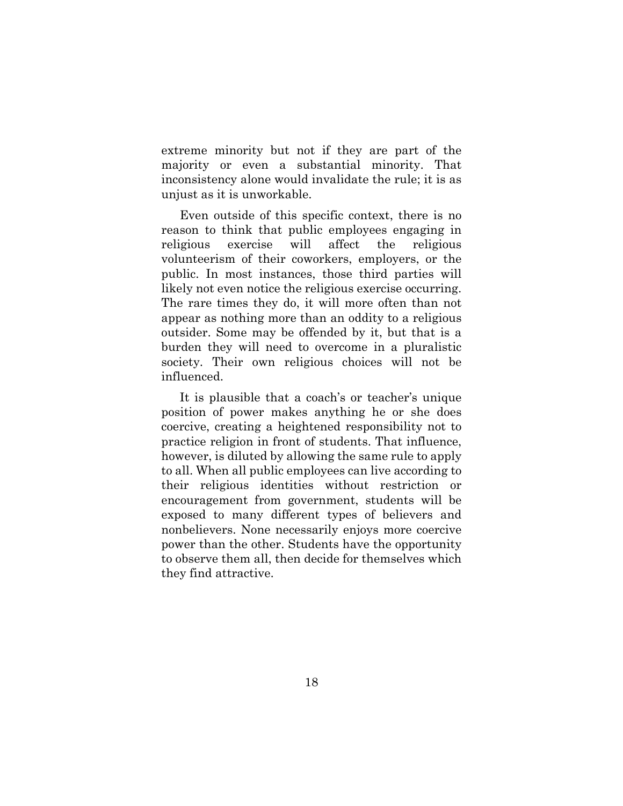extreme minority but not if they are part of the majority or even a substantial minority. That inconsistency alone would invalidate the rule; it is as unjust as it is unworkable.

Even outside of this specific context, there is no reason to think that public employees engaging in religious exercise will affect the religious volunteerism of their coworkers, employers, or the public. In most instances, those third parties will likely not even notice the religious exercise occurring. The rare times they do, it will more often than not appear as nothing more than an oddity to a religious outsider. Some may be offended by it, but that is a burden they will need to overcome in a pluralistic society. Their own religious choices will not be influenced.

It is plausible that a coach's or teacher's unique position of power makes anything he or she does coercive, creating a heightened responsibility not to practice religion in front of students. That influence, however, is diluted by allowing the same rule to apply to all. When all public employees can live according to their religious identities without restriction or encouragement from government, students will be exposed to many different types of believers and nonbelievers. None necessarily enjoys more coercive power than the other. Students have the opportunity to observe them all, then decide for themselves which they find attractive.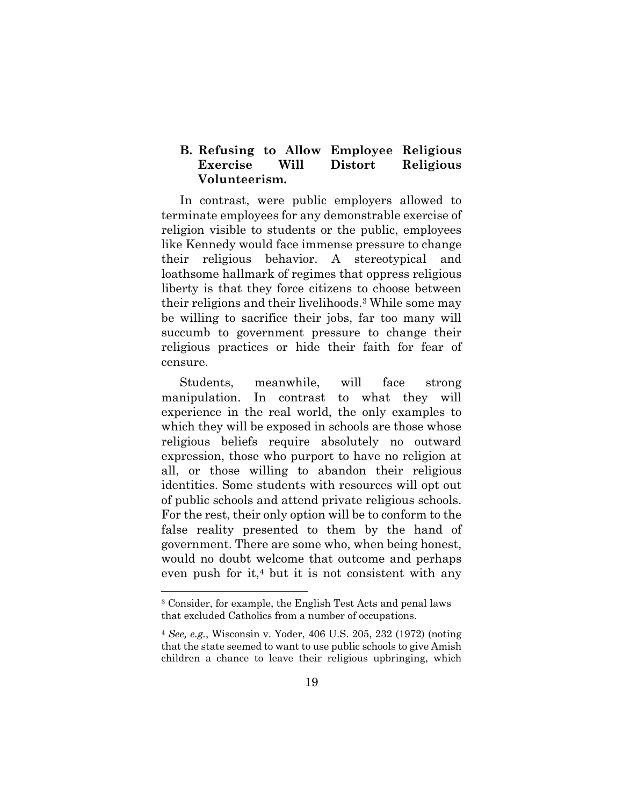## **B. Refusing to Allow Employee Religious Exercise Will Distort Religious Volunteerism.**

In contrast, were public employers allowed to terminate employees for any demonstrable exercise of religion visible to students or the public, employees like Kennedy would face immense pressure to change their religious behavior. A stereotypical and loathsome hallmark of regimes that oppress religious liberty is that they force citizens to choose between their religions and their livelihoods.3 While some may be willing to sacrifice their jobs, far too many will succumb to government pressure to change their religious practices or hide their faith for fear of censure.

Students, meanwhile, will face strong manipulation. In contrast to what they will experience in the real world, the only examples to which they will be exposed in schools are those whose religious beliefs require absolutely no outward expression, those who purport to have no religion at all, or those willing to abandon their religious identities. Some students with resources will opt out of public schools and attend private religious schools. For the rest, their only option will be to conform to the false reality presented to them by the hand of government. There are some who, when being honest, would no doubt welcome that outcome and perhaps even push for it,<sup>4</sup> but it is not consistent with any

<sup>3</sup> Consider, for example, the English Test Acts and penal laws that excluded Catholics from a number of occupations.

<sup>4</sup> *See, e.g.*, Wisconsin v. Yoder, 406 U.S. 205, 232 (1972) (noting that the state seemed to want to use public schools to give Amish children a chance to leave their religious upbringing, which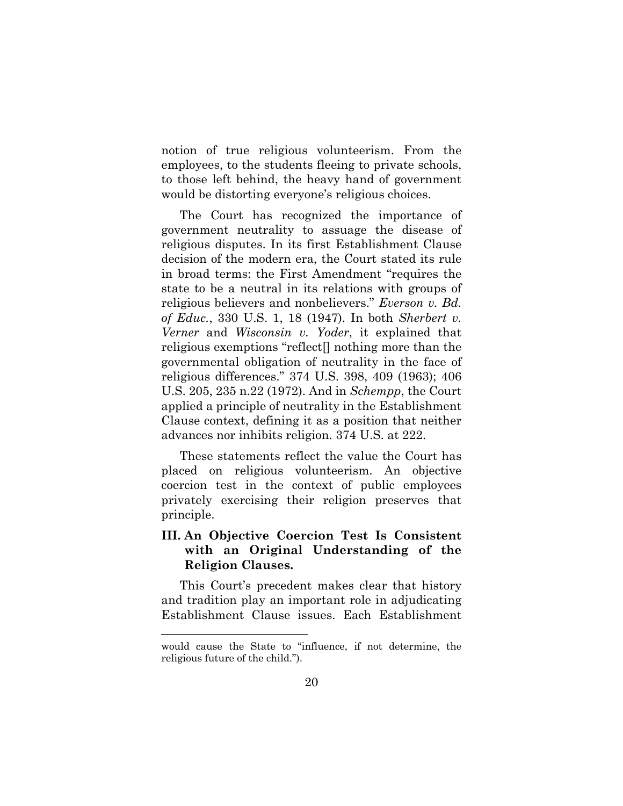notion of true religious volunteerism. From the employees, to the students fleeing to private schools, to those left behind, the heavy hand of government would be distorting everyone's religious choices.

The Court has recognized the importance of government neutrality to assuage the disease of religious disputes. In its first Establishment Clause decision of the modern era, the Court stated its rule in broad terms: the First Amendment "requires the state to be a neutral in its relations with groups of religious believers and nonbelievers." *Everson v. Bd. of Educ.*, 330 U.S. 1, 18 (1947). In both *Sherbert v. Verner* and *Wisconsin v. Yoder*, it explained that religious exemptions "reflect[] nothing more than the governmental obligation of neutrality in the face of religious differences." 374 U.S. 398, 409 (1963); 406 U.S. 205, 235 n.22 (1972). And in *Schempp*, the Court applied a principle of neutrality in the Establishment Clause context, defining it as a position that neither advances nor inhibits religion. 374 U.S. at 222.

These statements reflect the value the Court has placed on religious volunteerism. An objective coercion test in the context of public employees privately exercising their religion preserves that principle.

## **III. An Objective Coercion Test Is Consistent with an Original Understanding of the Religion Clauses.**

This Court's precedent makes clear that history and tradition play an important role in adjudicating Establishment Clause issues. Each Establishment

would cause the State to "influence, if not determine, the religious future of the child.").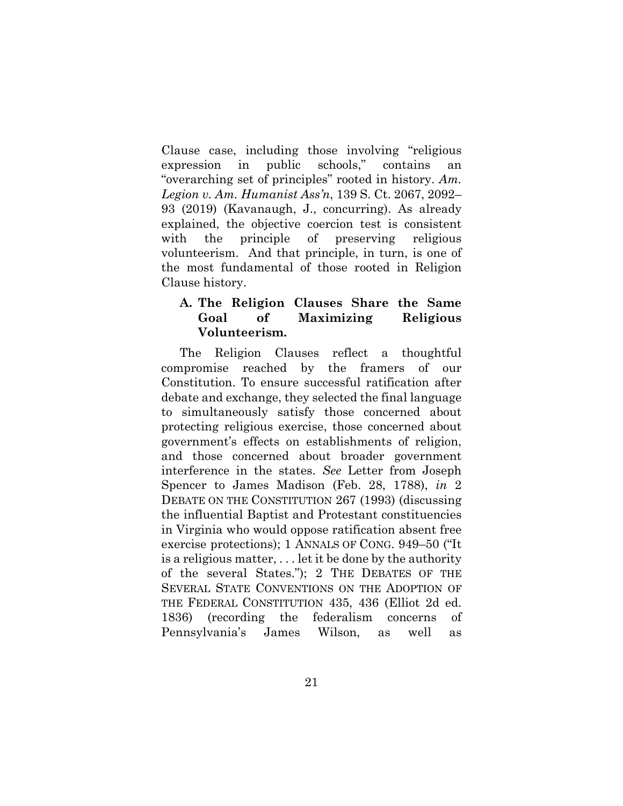Clause case, including those involving "religious expression in public schools," contains an "overarching set of principles" rooted in history. *Am. Legion v. Am. Humanist Ass'n*, 139 S. Ct. 2067, 2092– 93 (2019) (Kavanaugh, J., concurring). As already explained, the objective coercion test is consistent with the principle of preserving religious volunteerism. And that principle, in turn, is one of the most fundamental of those rooted in Religion Clause history.

## **A. The Religion Clauses Share the Same Goal of Maximizing Religious Volunteerism.**

The Religion Clauses reflect a thoughtful compromise reached by the framers of our Constitution. To ensure successful ratification after debate and exchange, they selected the final language to simultaneously satisfy those concerned about protecting religious exercise, those concerned about government's effects on establishments of religion, and those concerned about broader government interference in the states. *See* Letter from Joseph Spencer to James Madison (Feb. 28, 1788), *in* 2 DEBATE ON THE CONSTITUTION 267 (1993) (discussing the influential Baptist and Protestant constituencies in Virginia who would oppose ratification absent free exercise protections); 1 ANNALS OF CONG. 949–50 ("It is a religious matter, . . . let it be done by the authority of the several States."); 2 THE DEBATES OF THE SEVERAL STATE CONVENTIONS ON THE ADOPTION OF THE FEDERAL CONSTITUTION 435, 436 (Elliot 2d ed. 1836) (recording the federalism concerns of Pennsylvania's James Wilson, as well as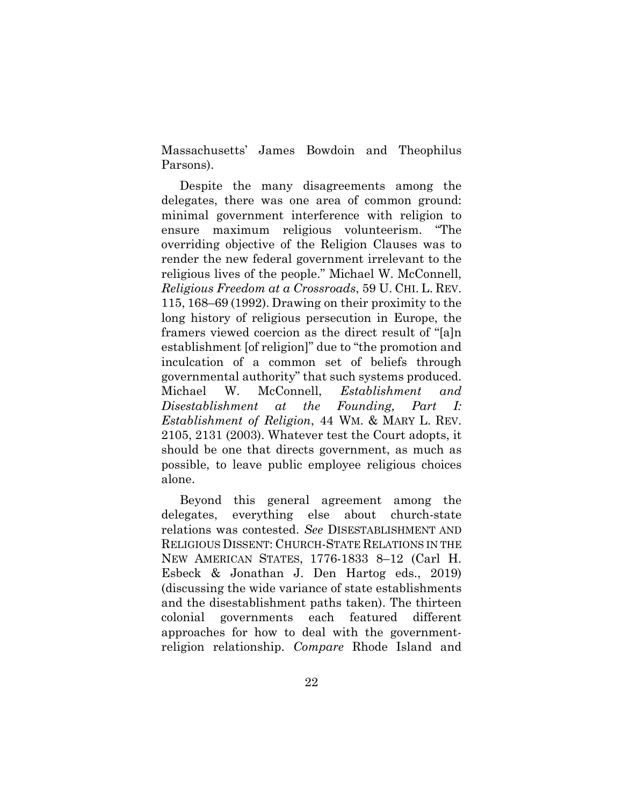Massachusetts' James Bowdoin and Theophilus Parsons).

Despite the many disagreements among the delegates, there was one area of common ground: minimal government interference with religion to ensure maximum religious volunteerism. "The overriding objective of the Religion Clauses was to render the new federal government irrelevant to the religious lives of the people." Michael W. McConnell, *Religious Freedom at a Crossroads*, 59 U. CHI. L. REV. 115, 168–69 (1992). Drawing on their proximity to the long history of religious persecution in Europe, the framers viewed coercion as the direct result of "[a]n establishment [of religion]" due to "the promotion and inculcation of a common set of beliefs through governmental authority" that such systems produced. Michael W. McConnell, *Establishment and Disestablishment at the Founding, Part I: Establishment of Religion*, 44 WM. & MARY L. REV. 2105, 2131 (2003). Whatever test the Court adopts, it should be one that directs government, as much as possible, to leave public employee religious choices alone.

Beyond this general agreement among the delegates, everything else about church-state relations was contested. *See* DISESTABLISHMENT AND RELIGIOUS DISSENT: CHURCH-STATE RELATIONS IN THE NEW AMERICAN STATES, 1776-1833 8–12 (Carl H. Esbeck & Jonathan J. Den Hartog eds., 2019) (discussing the wide variance of state establishments and the disestablishment paths taken). The thirteen colonial governments each featured different approaches for how to deal with the governmentreligion relationship. *Compare* Rhode Island and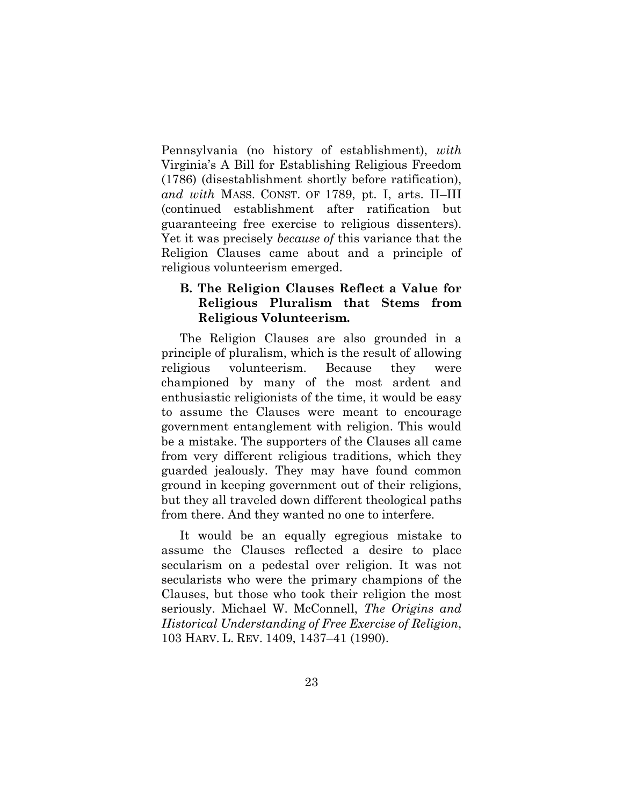Pennsylvania (no history of establishment), *with* Virginia's A Bill for Establishing Religious Freedom (1786) (disestablishment shortly before ratification), *and with* MASS. CONST. OF 1789, pt. I, arts. II–III (continued establishment after ratification but guaranteeing free exercise to religious dissenters). Yet it was precisely *because of* this variance that the Religion Clauses came about and a principle of religious volunteerism emerged.

## **B. The Religion Clauses Reflect a Value for Religious Pluralism that Stems from Religious Volunteerism.**

The Religion Clauses are also grounded in a principle of pluralism, which is the result of allowing religious volunteerism. Because they were championed by many of the most ardent and enthusiastic religionists of the time, it would be easy to assume the Clauses were meant to encourage government entanglement with religion. This would be a mistake. The supporters of the Clauses all came from very different religious traditions, which they guarded jealously. They may have found common ground in keeping government out of their religions, but they all traveled down different theological paths from there. And they wanted no one to interfere.

It would be an equally egregious mistake to assume the Clauses reflected a desire to place secularism on a pedestal over religion. It was not secularists who were the primary champions of the Clauses, but those who took their religion the most seriously. Michael W. McConnell, *The Origins and Historical Understanding of Free Exercise of Religion*, 103 HARV. L. REV. 1409, 1437–41 (1990).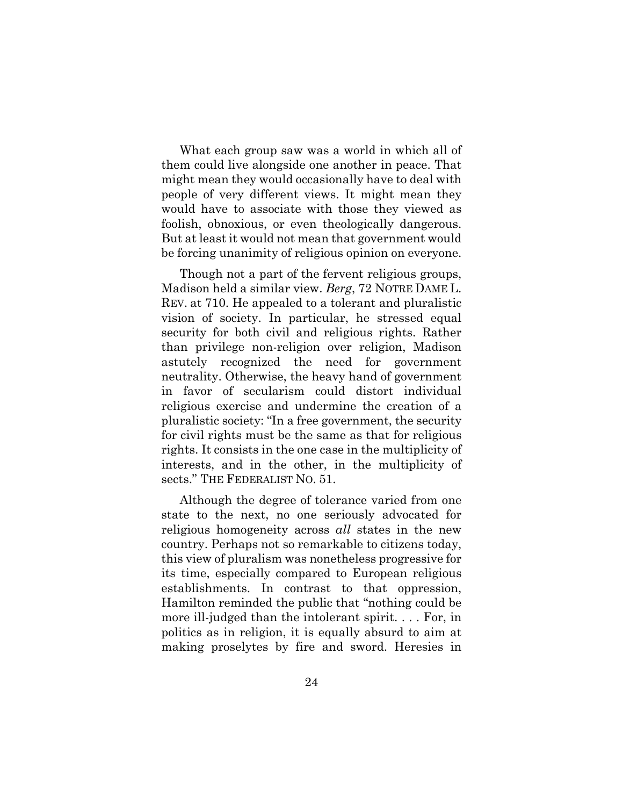What each group saw was a world in which all of them could live alongside one another in peace. That might mean they would occasionally have to deal with people of very different views. It might mean they would have to associate with those they viewed as foolish, obnoxious, or even theologically dangerous. But at least it would not mean that government would be forcing unanimity of religious opinion on everyone.

Though not a part of the fervent religious groups, Madison held a similar view. *Berg*, 72 NOTRE DAME L. REV. at 710. He appealed to a tolerant and pluralistic vision of society. In particular, he stressed equal security for both civil and religious rights. Rather than privilege non-religion over religion, Madison astutely recognized the need for government neutrality. Otherwise, the heavy hand of government in favor of secularism could distort individual religious exercise and undermine the creation of a pluralistic society: "In a free government, the security for civil rights must be the same as that for religious rights. It consists in the one case in the multiplicity of interests, and in the other, in the multiplicity of sects." THE FEDERALIST NO. 51.

Although the degree of tolerance varied from one state to the next, no one seriously advocated for religious homogeneity across *all* states in the new country. Perhaps not so remarkable to citizens today, this view of pluralism was nonetheless progressive for its time, especially compared to European religious establishments. In contrast to that oppression, Hamilton reminded the public that "nothing could be more ill-judged than the intolerant spirit. . . . For, in politics as in religion, it is equally absurd to aim at making proselytes by fire and sword. Heresies in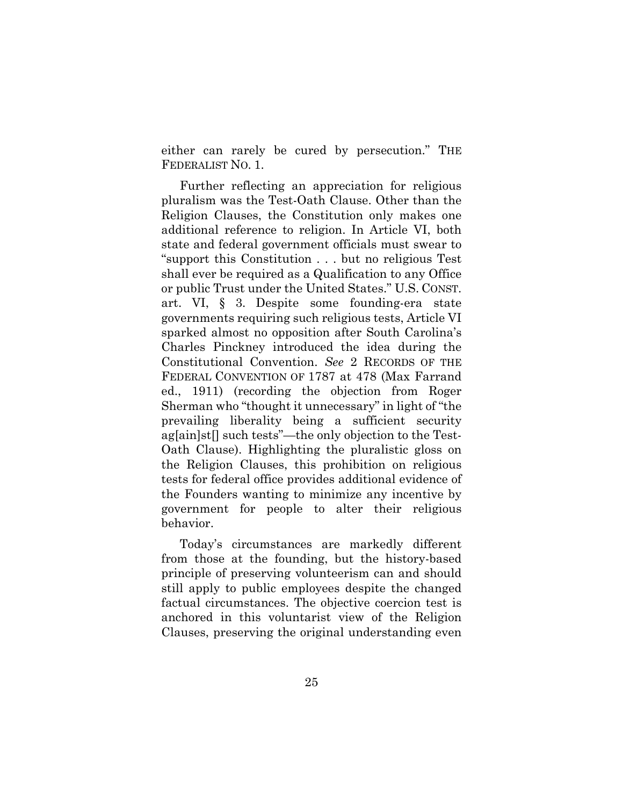either can rarely be cured by persecution." THE FEDERALIST NO. 1.

Further reflecting an appreciation for religious pluralism was the Test-Oath Clause. Other than the Religion Clauses, the Constitution only makes one additional reference to religion. In Article VI, both state and federal government officials must swear to "support this Constitution . . . but no religious Test shall ever be required as a Qualification to any Office or public Trust under the United States." U.S. CONST. art. VI, § 3. Despite some founding-era state governments requiring such religious tests, Article VI sparked almost no opposition after South Carolina's Charles Pinckney introduced the idea during the Constitutional Convention. *See* 2 RECORDS OF THE FEDERAL CONVENTION OF 1787 at 478 (Max Farrand ed., 1911) (recording the objection from Roger Sherman who "thought it unnecessary" in light of "the prevailing liberality being a sufficient security ag[ain]st[] such tests"—the only objection to the Test-Oath Clause). Highlighting the pluralistic gloss on the Religion Clauses, this prohibition on religious tests for federal office provides additional evidence of the Founders wanting to minimize any incentive by government for people to alter their religious behavior.

Today's circumstances are markedly different from those at the founding, but the history-based principle of preserving volunteerism can and should still apply to public employees despite the changed factual circumstances. The objective coercion test is anchored in this voluntarist view of the Religion Clauses, preserving the original understanding even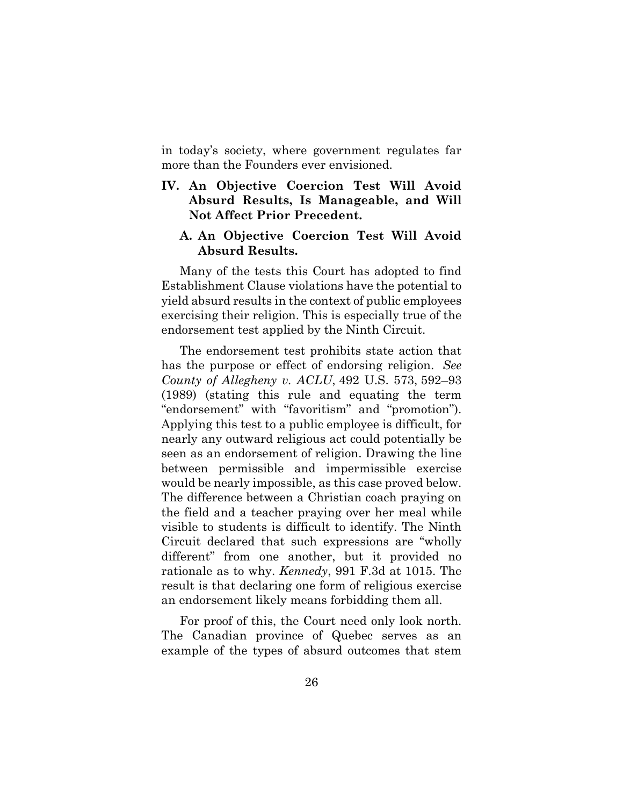in today's society, where government regulates far more than the Founders ever envisioned.

#### **IV. An Objective Coercion Test Will Avoid Absurd Results, Is Manageable, and Will Not Affect Prior Precedent.**

#### **A. An Objective Coercion Test Will Avoid Absurd Results.**

Many of the tests this Court has adopted to find Establishment Clause violations have the potential to yield absurd results in the context of public employees exercising their religion. This is especially true of the endorsement test applied by the Ninth Circuit.

The endorsement test prohibits state action that has the purpose or effect of endorsing religion. *See County of Allegheny v. ACLU*, 492 U.S. 573, 592–93 (1989) (stating this rule and equating the term "endorsement" with "favoritism" and "promotion"). Applying this test to a public employee is difficult, for nearly any outward religious act could potentially be seen as an endorsement of religion. Drawing the line between permissible and impermissible exercise would be nearly impossible, as this case proved below. The difference between a Christian coach praying on the field and a teacher praying over her meal while visible to students is difficult to identify. The Ninth Circuit declared that such expressions are "wholly different" from one another, but it provided no rationale as to why. *Kennedy*, 991 F.3d at 1015. The result is that declaring one form of religious exercise an endorsement likely means forbidding them all.

For proof of this, the Court need only look north. The Canadian province of Quebec serves as an example of the types of absurd outcomes that stem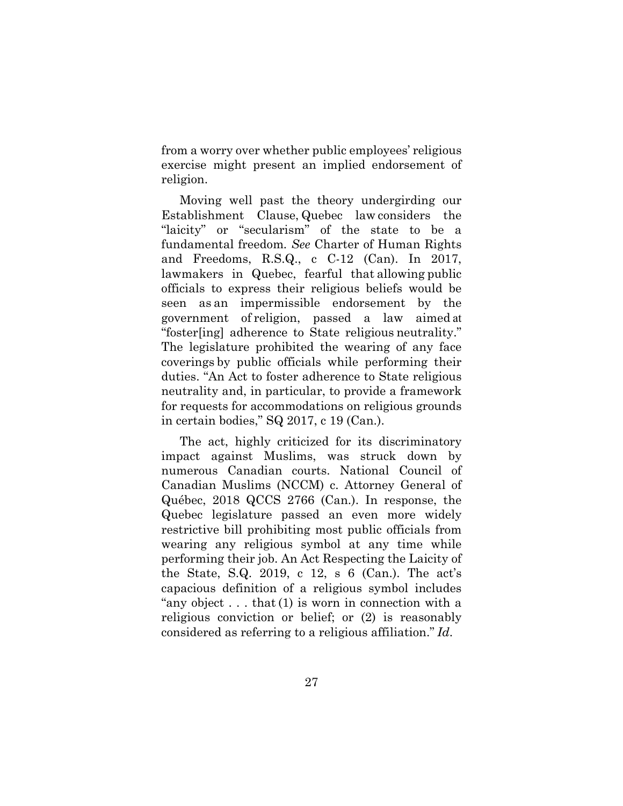from a worry over whether public employees' religious exercise might present an implied endorsement of religion.

Moving well past the theory undergirding our Establishment Clause, Quebec law considers the "laicity" or "secularism" of the state to be a fundamental freedom*. See* Charter of Human Rights and Freedoms, R.S.Q., c C-12 (Can). In 2017, lawmakers in Quebec, fearful that allowing public officials to express their religious beliefs would be seen as an impermissible endorsement by the government of religion, passed a law aimed at "foster[ing] adherence to State religious neutrality." The legislature prohibited the wearing of any face coverings by public officials while performing their duties. "An Act to foster adherence to State religious neutrality and, in particular, to provide a framework for requests for accommodations on religious grounds in certain bodies," SQ 2017, c 19 (Can.).

The act, highly criticized for its discriminatory impact against Muslims, was struck down by numerous Canadian courts. National Council of Canadian Muslims (NCCM) c. Attorney General of Québec, 2018 QCCS 2766 (Can.). In response, the Quebec legislature passed an even more widely restrictive bill prohibiting most public officials from wearing any religious symbol at any time while performing their job. An Act Respecting the Laicity of the State, S.Q. 2019, c 12, s 6 (Can.). The act's capacious definition of a religious symbol includes "any object  $\dots$  that (1) is worn in connection with a religious conviction or belief; or (2) is reasonably considered as referring to a religious affiliation." *Id*.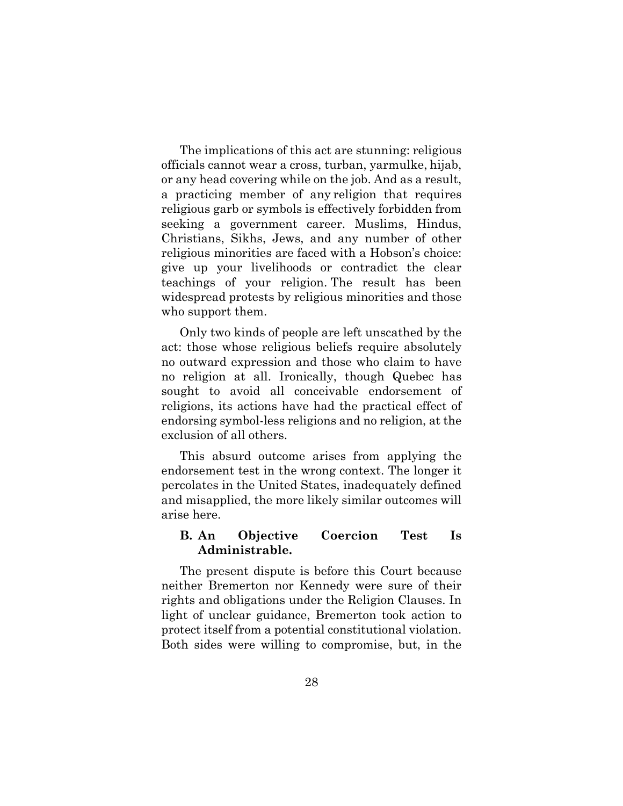The implications of this act are stunning: religious officials cannot wear a cross, turban, yarmulke, hijab, or any head covering while on the job. And as a result, a practicing member of any religion that requires religious garb or symbols is effectively forbidden from seeking a government career. Muslims, Hindus, Christians, Sikhs, Jews, and any number of other religious minorities are faced with a Hobson's choice: give up your livelihoods or contradict the clear teachings of your religion. The result has been widespread protests by religious minorities and those who support them.

Only two kinds of people are left unscathed by the act: those whose religious beliefs require absolutely no outward expression and those who claim to have no religion at all. Ironically, though Quebec has sought to avoid all conceivable endorsement of religions, its actions have had the practical effect of endorsing symbol-less religions and no religion, at the exclusion of all others.

This absurd outcome arises from applying the endorsement test in the wrong context. The longer it percolates in the United States, inadequately defined and misapplied, the more likely similar outcomes will arise here.

#### **B. An Objective Coercion Test Is Administrable.**

The present dispute is before this Court because neither Bremerton nor Kennedy were sure of their rights and obligations under the Religion Clauses. In light of unclear guidance, Bremerton took action to protect itself from a potential constitutional violation. Both sides were willing to compromise, but, in the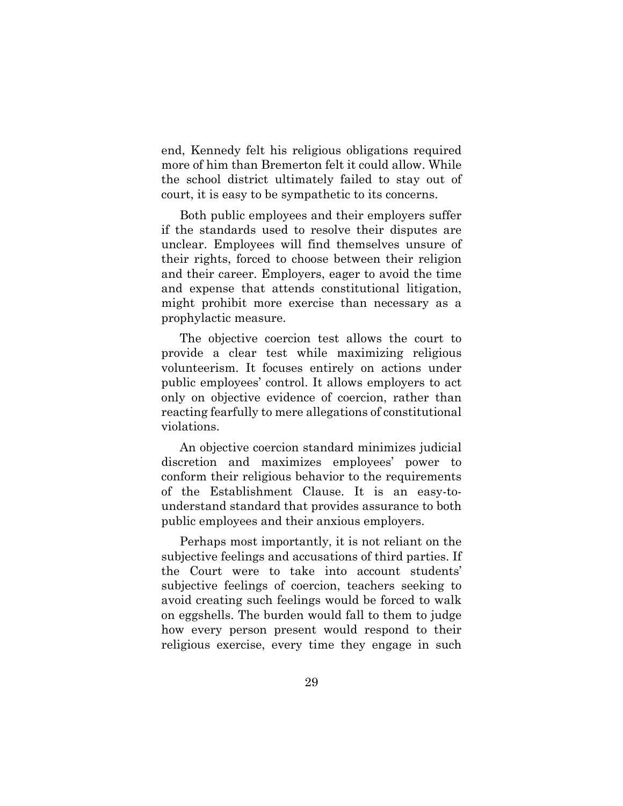end, Kennedy felt his religious obligations required more of him than Bremerton felt it could allow. While the school district ultimately failed to stay out of court, it is easy to be sympathetic to its concerns.

Both public employees and their employers suffer if the standards used to resolve their disputes are unclear. Employees will find themselves unsure of their rights, forced to choose between their religion and their career. Employers, eager to avoid the time and expense that attends constitutional litigation, might prohibit more exercise than necessary as a prophylactic measure.

The objective coercion test allows the court to provide a clear test while maximizing religious volunteerism. It focuses entirely on actions under public employees' control. It allows employers to act only on objective evidence of coercion, rather than reacting fearfully to mere allegations of constitutional violations.

An objective coercion standard minimizes judicial discretion and maximizes employees' power to conform their religious behavior to the requirements of the Establishment Clause. It is an easy-tounderstand standard that provides assurance to both public employees and their anxious employers.

Perhaps most importantly, it is not reliant on the subjective feelings and accusations of third parties. If the Court were to take into account students' subjective feelings of coercion, teachers seeking to avoid creating such feelings would be forced to walk on eggshells. The burden would fall to them to judge how every person present would respond to their religious exercise, every time they engage in such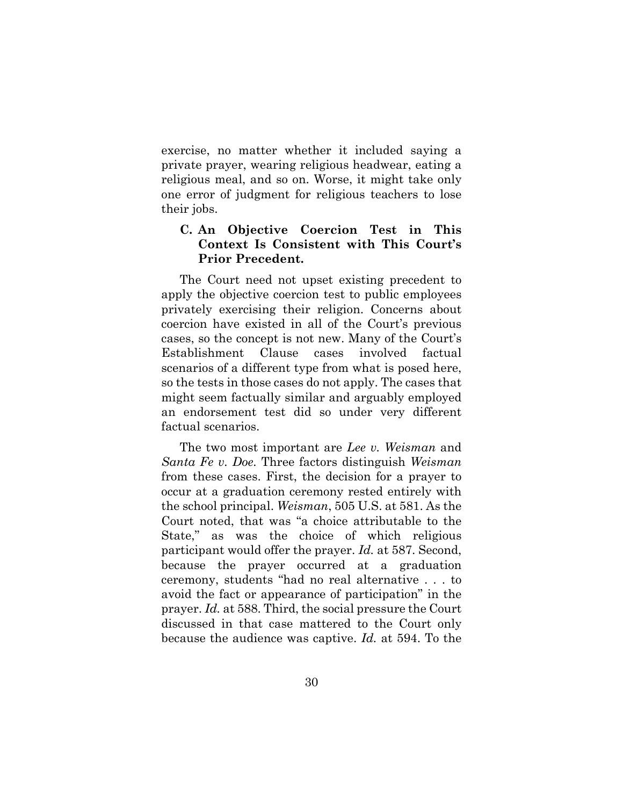exercise, no matter whether it included saying a private prayer, wearing religious headwear, eating a religious meal, and so on. Worse, it might take only one error of judgment for religious teachers to lose their jobs.

#### **C. An Objective Coercion Test in This Context Is Consistent with This Court's Prior Precedent.**

The Court need not upset existing precedent to apply the objective coercion test to public employees privately exercising their religion. Concerns about coercion have existed in all of the Court's previous cases, so the concept is not new. Many of the Court's Establishment Clause cases involved factual scenarios of a different type from what is posed here, so the tests in those cases do not apply. The cases that might seem factually similar and arguably employed an endorsement test did so under very different factual scenarios.

The two most important are *Lee v. Weisman* and *Santa Fe v. Doe.* Three factors distinguish *Weisman* from these cases. First, the decision for a prayer to occur at a graduation ceremony rested entirely with the school principal. *Weisman*, 505 U.S. at 581. As the Court noted, that was "a choice attributable to the State," as was the choice of which religious participant would offer the prayer. *Id.* at 587. Second, because the prayer occurred at a graduation ceremony, students "had no real alternative . . . to avoid the fact or appearance of participation" in the prayer. *Id.* at 588. Third, the social pressure the Court discussed in that case mattered to the Court only because the audience was captive. *Id.* at 594. To the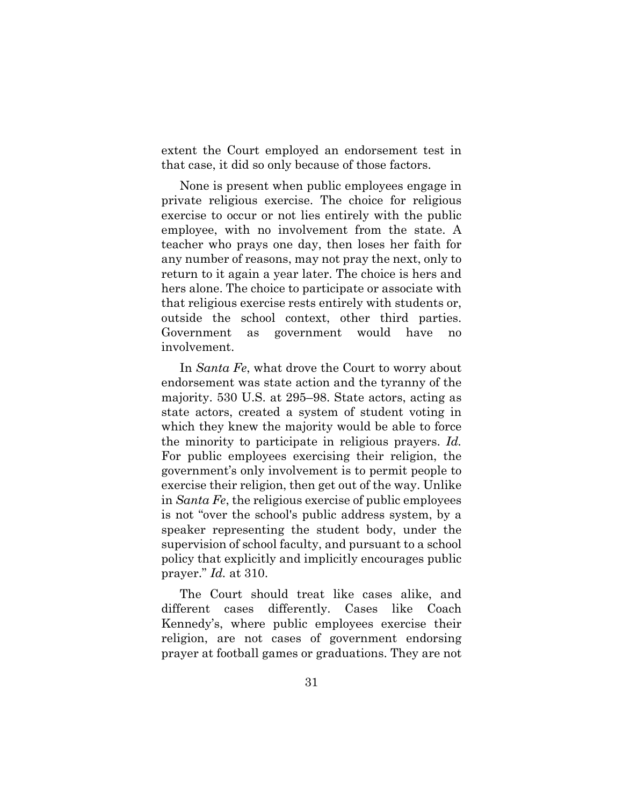extent the Court employed an endorsement test in that case, it did so only because of those factors.

None is present when public employees engage in private religious exercise. The choice for religious exercise to occur or not lies entirely with the public employee, with no involvement from the state. A teacher who prays one day, then loses her faith for any number of reasons, may not pray the next, only to return to it again a year later. The choice is hers and hers alone. The choice to participate or associate with that religious exercise rests entirely with students or, outside the school context, other third parties. Government as government would have no involvement.

In *Santa Fe*, what drove the Court to worry about endorsement was state action and the tyranny of the majority. 530 U.S. at 295–98. State actors, acting as state actors, created a system of student voting in which they knew the majority would be able to force the minority to participate in religious prayers. *Id.* For public employees exercising their religion, the government's only involvement is to permit people to exercise their religion, then get out of the way. Unlike in *Santa Fe*, the religious exercise of public employees is not "over the school's public address system, by a speaker representing the student body, under the supervision of school faculty, and pursuant to a school policy that explicitly and implicitly encourages public prayer." *Id.* at 310.

The Court should treat like cases alike, and different cases differently. Cases like Coach Kennedy's, where public employees exercise their religion, are not cases of government endorsing prayer at football games or graduations. They are not